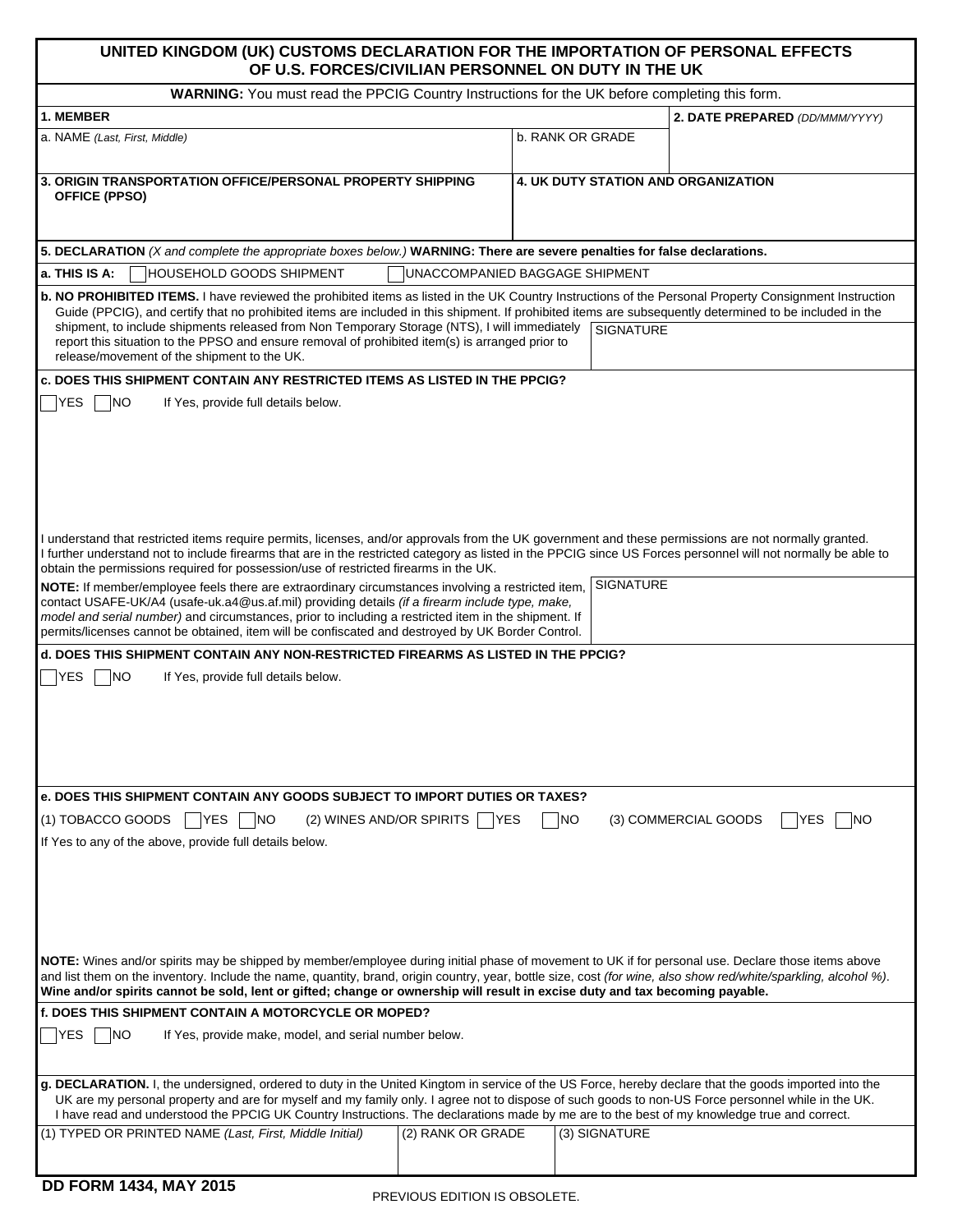## **UNITED KINGDOM (UK) CUSTOMS DECLARATION FOR THE IMPORTATION OF PERSONAL EFFECTS OF U.S. FORCES/CIVILIAN PERSONNEL ON DUTY IN THE UK**

| WARNING: You must read the PPCIG Country Instructions for the UK before completing this form.                                                                                                                                                                                                                                                                                                                                                                                                                                                                                                                                                                                                                                                                                                                                        |                                                   |  |
|--------------------------------------------------------------------------------------------------------------------------------------------------------------------------------------------------------------------------------------------------------------------------------------------------------------------------------------------------------------------------------------------------------------------------------------------------------------------------------------------------------------------------------------------------------------------------------------------------------------------------------------------------------------------------------------------------------------------------------------------------------------------------------------------------------------------------------------|---------------------------------------------------|--|
| 1. MEMBER                                                                                                                                                                                                                                                                                                                                                                                                                                                                                                                                                                                                                                                                                                                                                                                                                            | 2. DATE PREPARED (DD/MMM/YYYY)                    |  |
| a. NAME (Last, First, Middle)                                                                                                                                                                                                                                                                                                                                                                                                                                                                                                                                                                                                                                                                                                                                                                                                        | b. RANK OR GRADE                                  |  |
|                                                                                                                                                                                                                                                                                                                                                                                                                                                                                                                                                                                                                                                                                                                                                                                                                                      |                                                   |  |
| 3. ORIGIN TRANSPORTATION OFFICE/PERSONAL PROPERTY SHIPPING<br><b>OFFICE (PPSO)</b>                                                                                                                                                                                                                                                                                                                                                                                                                                                                                                                                                                                                                                                                                                                                                   | 4. UK DUTY STATION AND ORGANIZATION               |  |
| 5. DECLARATION (X and complete the appropriate boxes below.) WARNING: There are severe penalties for false declarations.                                                                                                                                                                                                                                                                                                                                                                                                                                                                                                                                                                                                                                                                                                             |                                                   |  |
| a. THIS IS A:<br>HOUSEHOLD GOODS SHIPMENT<br>UNACCOMPANIED BAGGAGE SHIPMENT                                                                                                                                                                                                                                                                                                                                                                                                                                                                                                                                                                                                                                                                                                                                                          |                                                   |  |
| b. NO PROHIBITED ITEMS. I have reviewed the prohibited items as listed in the UK Country Instructions of the Personal Property Consignment Instruction<br>Guide (PPCIG), and certify that no prohibited items are included in this shipment. If prohibited items are subsequently determined to be included in the<br>shipment, to include shipments released from Non Temporary Storage (NTS), I will immediately<br><b>SIGNATURE</b><br>report this situation to the PPSO and ensure removal of prohibited item(s) is arranged prior to<br>release/movement of the shipment to the UK.                                                                                                                                                                                                                                             |                                                   |  |
| c. DOES THIS SHIPMENT CONTAIN ANY RESTRICTED ITEMS AS LISTED IN THE PPCIG?                                                                                                                                                                                                                                                                                                                                                                                                                                                                                                                                                                                                                                                                                                                                                           |                                                   |  |
| <b>YES</b><br> NO<br>If Yes, provide full details below.                                                                                                                                                                                                                                                                                                                                                                                                                                                                                                                                                                                                                                                                                                                                                                             |                                                   |  |
| I understand that restricted items require permits, licenses, and/or approvals from the UK government and these permissions are not normally granted.<br>I further understand not to include firearms that are in the restricted category as listed in the PPCIG since US Forces personnel will not normally be able to<br>obtain the permissions required for possession/use of restricted firearms in the UK.<br>NOTE: If member/employee feels there are extraordinary circumstances involving a restricted item,<br>contact USAFE-UK/A4 (usafe-uk.a4@us.af.mil) providing details (if a firearm include type, make,<br>model and serial number) and circumstances, prior to including a restricted item in the shipment. If<br>permits/licenses cannot be obtained, item will be confiscated and destroyed by UK Border Control. | <b>SIGNATURE</b>                                  |  |
| d. DOES THIS SHIPMENT CONTAIN ANY NON-RESTRICTED FIREARMS AS LISTED IN THE PPCIG?                                                                                                                                                                                                                                                                                                                                                                                                                                                                                                                                                                                                                                                                                                                                                    |                                                   |  |
| <b>YES</b><br><b>NO</b><br>If Yes, provide full details below.                                                                                                                                                                                                                                                                                                                                                                                                                                                                                                                                                                                                                                                                                                                                                                       |                                                   |  |
| e. DOES THIS SHIPMENT CONTAIN ANY GOODS SUBJECT TO IMPORT DUTIES OR TAXES?                                                                                                                                                                                                                                                                                                                                                                                                                                                                                                                                                                                                                                                                                                                                                           |                                                   |  |
| (1) TOBACCO GOODS<br> NO<br> YES<br>(2) WINES AND/OR SPIRITS<br>If Yes to any of the above, provide full details below.                                                                                                                                                                                                                                                                                                                                                                                                                                                                                                                                                                                                                                                                                                              | (3) COMMERCIAL GOODS<br> YES<br> NO<br> NO<br>YES |  |
| NOTE: Wines and/or spirits may be shipped by member/employee during initial phase of movement to UK if for personal use. Declare those items above<br>and list them on the inventory. Include the name, quantity, brand, origin country, year, bottle size, cost (for wine, also show red/white/sparkling, alcohol %).<br>Wine and/or spirits cannot be sold, lent or gifted; change or ownership will result in excise duty and tax becoming payable.                                                                                                                                                                                                                                                                                                                                                                               |                                                   |  |
| <b>f. DOES THIS SHIPMENT CONTAIN A MOTORCYCLE OR MOPED?</b>                                                                                                                                                                                                                                                                                                                                                                                                                                                                                                                                                                                                                                                                                                                                                                          |                                                   |  |
| YES<br>NO.<br>If Yes, provide make, model, and serial number below.                                                                                                                                                                                                                                                                                                                                                                                                                                                                                                                                                                                                                                                                                                                                                                  |                                                   |  |
| g. DECLARATION. I, the undersigned, ordered to duty in the United Kingtom in service of the US Force, hereby declare that the goods imported into the<br>UK are my personal property and are for myself and my family only. I agree not to dispose of such goods to non-US Force personnel while in the UK.<br>I have read and understood the PPCIG UK Country Instructions. The declarations made by me are to the best of my knowledge true and correct.                                                                                                                                                                                                                                                                                                                                                                           |                                                   |  |
| (1) TYPED OR PRINTED NAME (Last, First, Middle Initial)<br>(2) RANK OR GRADE                                                                                                                                                                                                                                                                                                                                                                                                                                                                                                                                                                                                                                                                                                                                                         | (3) SIGNATURE                                     |  |